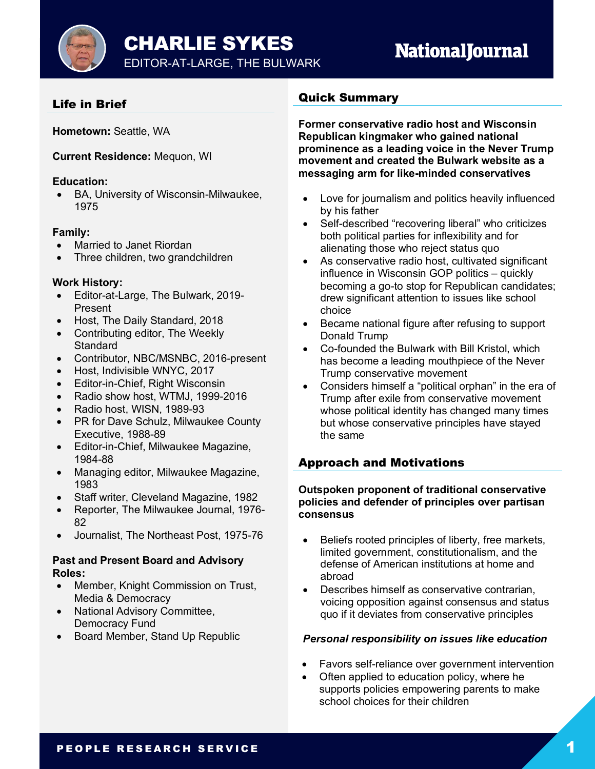CHARLIE SYKES

## **NationalJournal**

## Life in Brief

**Hometown:** Seattle, WA

**Current Residence:** Mequon, WI

### **Education:**

• BA, University of Wisconsin-Milwaukee, 1975

## **Family:**

- Married to Janet Riordan
- Three children, two grandchildren

## **Work History:**

- Editor-at-Large, The Bulwark, 2019- Present
- Host, The Daily Standard, 2018
- Contributing editor, The Weekly **Standard**
- Contributor, NBC/MSNBC, 2016-present
- Host, Indivisible WNYC, 2017
- Editor-in-Chief, Right Wisconsin
- Radio show host, WTMJ, 1999-2016
- Radio host, WISN, 1989-93
- PR for Dave Schulz, Milwaukee County Executive, 1988-89
- Editor-in-Chief, Milwaukee Magazine, 1984-88
- Managing editor, Milwaukee Magazine, 1983
- Staff writer, Cleveland Magazine, 1982
- Reporter, The Milwaukee Journal, 1976- 82
- Journalist, The Northeast Post, 1975-76

#### **Past and Present Board and Advisory Roles:**

- Member, Knight Commission on Trust, Media & Democracy
- National Advisory Committee, Democracy Fund
- Board Member, Stand Up Republic

## Quick Summary

**Former conservative radio host and Wisconsin Republican kingmaker who gained national prominence as a leading voice in the Never Trump movement and created the Bulwark website as a messaging arm for like-minded conservatives**

- Love for journalism and politics heavily influenced by his father
- Self-described "recovering liberal" who criticizes both political parties for inflexibility and for alienating those who reject status quo
- As conservative radio host, cultivated significant influence in Wisconsin GOP politics – quickly becoming a go-to stop for Republican candidates; drew significant attention to issues like school choice
- Became national figure after refusing to support Donald Trump
- Co-founded the Bulwark with Bill Kristol, which has become a leading mouthpiece of the Never Trump conservative movement
- Considers himself a "political orphan" in the era of Trump after exile from conservative movement whose political identity has changed many times but whose conservative principles have stayed the same

## Approach and Motivations

#### **Outspoken proponent of traditional conservative policies and defender of principles over partisan consensus**

- Beliefs rooted principles of liberty, free markets, limited government, constitutionalism, and the defense of American institutions at home and abroad
- Describes himself as conservative contrarian, voicing opposition against consensus and status quo if it deviates from conservative principles

## *Personal responsibility on issues like education*

- Favors self-reliance over government intervention
- Often applied to education policy, where he supports policies empowering parents to make school choices for their children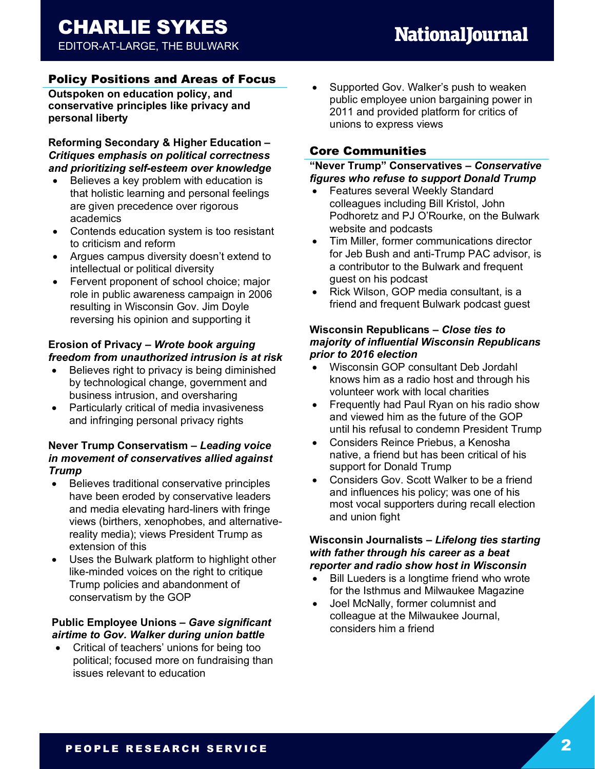#### Policy Positions and Areas of Focus

**Outspoken on education policy, and conservative principles like privacy and personal liberty**

**Reforming Secondary & Higher Education –** *Critiques emphasis on political correctness and prioritizing self-esteem over knowledge*

- Believes a key problem with education is that holistic learning and personal feelings are given precedence over rigorous academics
- Contends education system is too resistant to criticism and reform
- Argues campus diversity doesn't extend to intellectual or political diversity
- Fervent proponent of school choice; major role in public awareness campaign in 2006 resulting in Wisconsin Gov. Jim Doyle reversing his opinion and supporting it

#### **Erosion of Privacy –** *Wrote book arguing freedom from unauthorized intrusion is at risk*

- Believes right to privacy is being diminished by technological change, government and business intrusion, and oversharing
- Particularly critical of media invasiveness and infringing personal privacy rights

#### **Never Trump Conservatism –** *Leading voice in movement of conservatives allied against Trump*

- Believes traditional conservative principles have been eroded by conservative leaders and media elevating hard-liners with fringe views (birthers, xenophobes, and alternativereality media); views President Trump as extension of this
- Uses the Bulwark platform to highlight other like-minded voices on the right to critique Trump policies and abandonment of conservatism by the GOP

#### **Public Employee Unions –** *Gave significant airtime to Gov. Walker during union battle*

• Critical of teachers' unions for being too political; focused more on fundraising than issues relevant to education

• Supported Gov. Walker's push to weaken public employee union bargaining power in 2011 and provided platform for critics of unions to express views

#### Core Communities

#### **"Never Trump" Conservatives –** *Conservative figures who refuse to support Donald Trump*

- Features several Weekly Standard colleagues including Bill Kristol, John Podhoretz and PJ O'Rourke, on the Bulwark website and podcasts
- Tim Miller, former communications director for Jeb Bush and anti-Trump PAC advisor, is a contributor to the Bulwark and frequent guest on his podcast
- Rick Wilson, GOP media consultant, is a friend and frequent Bulwark podcast guest

#### **Wisconsin Republicans –** *Close ties to majority of influential Wisconsin Republicans prior to 2016 election*

- Wisconsin GOP consultant Deb Jordahl knows him as a radio host and through his volunteer work with local charities
- Frequently had Paul Ryan on his radio show and viewed him as the future of the GOP until his refusal to condemn President Trump
- Considers Reince Priebus, a Kenosha native, a friend but has been critical of his support for Donald Trump
- Considers Gov. Scott Walker to be a friend and influences his policy; was one of his most vocal supporters during recall election and union fight

#### **Wisconsin Journalists –** *Lifelong ties starting with father through his career as a beat reporter and radio show host in Wisconsin*

- Bill Lueders is a longtime friend who wrote for the Isthmus and Milwaukee Magazine
- Joel McNally, former columnist and colleague at the Milwaukee Journal, considers him a friend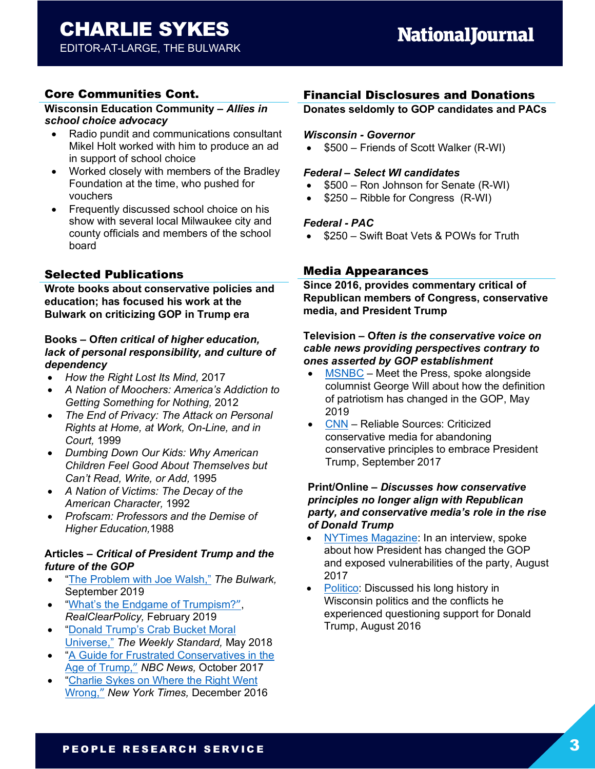## CHARLIE SYKES

EDITOR-AT-LARGE, THE BULWARK

## Core Communities Cont.

#### **Wisconsin Education Community –** *Allies in school choice advocacy*

- Radio pundit and communications consultant Mikel Holt worked with him to produce an ad in support of school choice
- Worked closely with members of the Bradley Foundation at the time, who pushed for vouchers
- Frequently discussed school choice on his show with several local Milwaukee city and county officials and members of the school board

## Selected Publications

**Wrote books about conservative policies and education; has focused his work at the Bulwark on criticizing GOP in Trump era**

#### **Books – O***ften critical of higher education, lack of personal responsibility, and culture of dependency*

- *How the Right Lost Its Mind,* 2017
- *A Nation of Moochers: America's Addiction to Getting Something for Nothing,* 2012
- *The End of Privacy: The Attack on Personal Rights at Home, at Work, On-Line, and in Court,* 1999
- *Dumbing Down Our Kids: Why American Children Feel Good About Themselves but Can't Read, Write, or Add,* 1995
- *A Nation of Victims: The Decay of the American Character,* 1992
- *Profscam: Professors and the Demise of Higher Education,*1988

#### **Articles –** *Critical of President Trump and the future of the GOP*

- "The Problem with Joe Walsh," *The Bulwark,*  September 2019
- "What's the Endgame of Trumpism?", *RealClearPolicy,* February 2019
- "Donald Trump's Crab Bucket Moral Universe," *The Weekly Standard,* May 2018
- "A Guide for Frustrated Conservatives in the Age of Trump," *NBC News,* October 2017
- "Charlie Sykes on Where the Right Went Wrong," *New York Times,* December 2016

## Financial Disclosures and Donations

#### **Donates seldomly to GOP candidates and PACs**

#### *Wisconsin - Governor*

• \$500 – Friends of Scott Walker (R-WI)

#### *Federal – Select WI candidates*

- \$500 Ron Johnson for Senate (R-WI)
- \$250 Ribble for Congress (R-WI)

#### *Federal - PAC*

• \$250 – Swift Boat Vets & POWs for Truth

### Media Appearances

**Since 2016, provides commentary critical of Republican members of Congress, conservative media, and President Trump**

#### **Television – O***ften is the conservative voice on cable news providing perspectives contrary to ones asserted by GOP establishment*

- MSNBC Meet the Press, spoke alongside columnist George Will about how the definition of patriotism has changed in the GOP, May 2019
- CNN Reliable Sources: Criticized conservative media for abandoning conservative principles to embrace President Trump, September 2017

#### **Print/Online –** *Discusses how conservative principles no longer align with Republican party, and conservative media's role in the rise of Donald Trump*

- NYTimes Magazine: In an interview, spoke about how President has changed the GOP and exposed vulnerabilities of the party, August 2017
- Politico: Discussed his long history in Wisconsin politics and the conflicts he experienced questioning support for Donald Trump, August 2016

## PEOPLE RESEARCH SERVICE 3